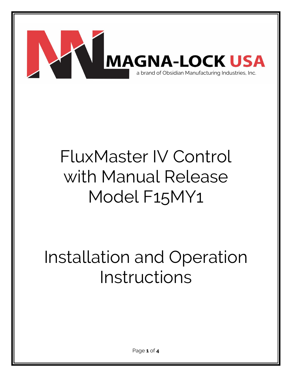

# FluxMaster IV Control with Manual Release Model F15MY1

## Installation and Operation Instructions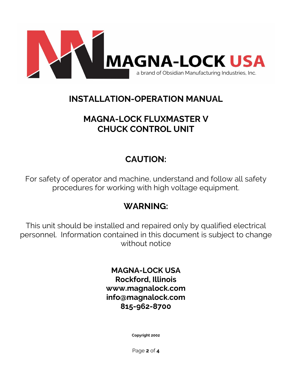

#### **INSTALLATION-OPERATION MANUAL**

### **MAGNA-LOCK FLUXMASTER V CHUCK CONTROL UNIT**

### **CAUTION:**

For safety of operator and machine, understand and follow all safety procedures for working with high voltage equipment.

#### **WARNING:**

This unit should be installed and repaired only by qualified electrical personnel. Information contained in this document is subject to change without notice

> **MAGNA-LOCK USA Rockford, Illinois www.magnalock.com info@magnalock.com 815-962-8700**

> > **Copyright 2002**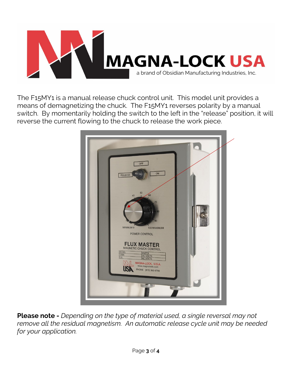

The F15MY1 is a manual release chuck control unit. This model unit provides a means of demagnetizing the chuck. The F15MY1 reverses polarity by a manual switch. By momentarily holding the switch to the left in the "release" position, it will reverse the current flowing to the chuck to release the work piece.



**Please note -** *Depending on the type of material used, a single reversal may not remove all the residual magnetism. An automatic release cycle unit may be needed for your application.*